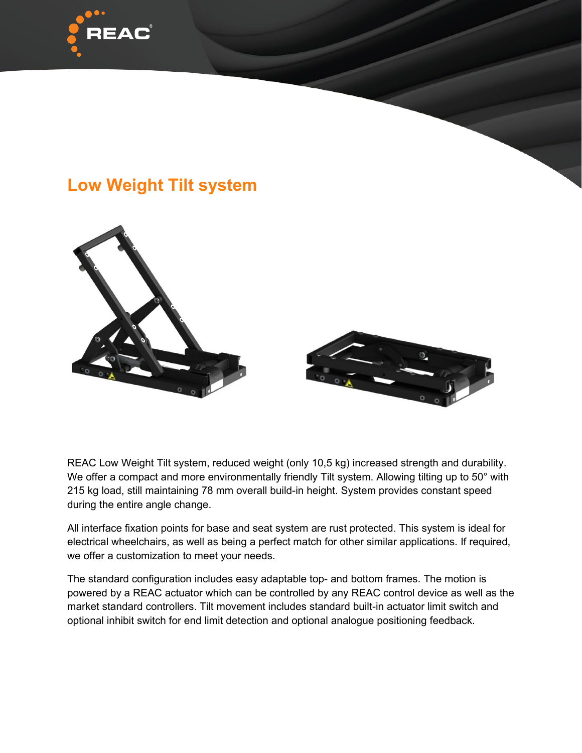

## **Low Weight Tilt system**



REAC Low Weight Tilt system, reduced weight (only 10,5 kg) increased strength and durability. We offer a compact and more environmentally friendly Tilt system. Allowing tilting up to 50° with 215 kg load, still maintaining 78 mm overall build-in height. System provides constant speed during the entire angle change.

All interface fixation points for base and seat system are rust protected. This system is ideal for electrical wheelchairs, as well as being a perfect match for other similar applications. If required, we offer a customization to meet your needs.

The standard configuration includes easy adaptable top- and bottom frames. The motion is powered by a REAC actuator which can be controlled by any REAC control device as well as the market standard controllers. Tilt movement includes standard built-in actuator limit switch and optional inhibit switch for end limit detection and optional analogue positioning feedback.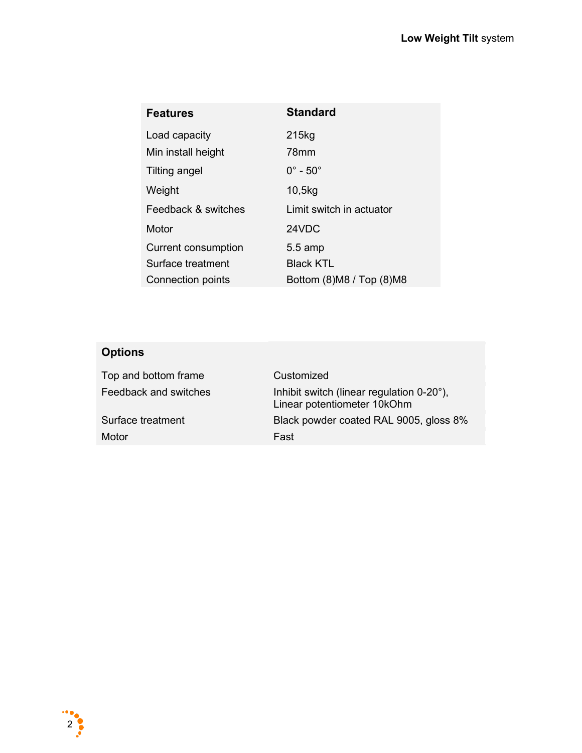| <b>Features</b>            | <b>Standard</b>            |
|----------------------------|----------------------------|
| Load capacity              | 215kg                      |
| Min install height         | 78mm                       |
| Tilting angel              | $0^\circ$ - $50^\circ$     |
| Weight                     | 10,5kg                     |
| Feedback & switches        | Limit switch in actuator   |
| Motor                      | 24VDC                      |
| <b>Current consumption</b> | $5.5 \text{ amp}$          |
| Surface treatment          | <b>Black KTL</b>           |
| Connection points          | Bottom (8) M8 / Top (8) M8 |

## **Options**

| Top and bottom frame  | Customized                                                               |
|-----------------------|--------------------------------------------------------------------------|
| Feedback and switches | Inhibit switch (linear regulation 0-20°),<br>Linear potentiometer 10kOhm |
| Surface treatment     | Black powder coated RAL 9005, gloss 8%                                   |
| Motor                 | Fast                                                                     |
|                       |                                                                          |